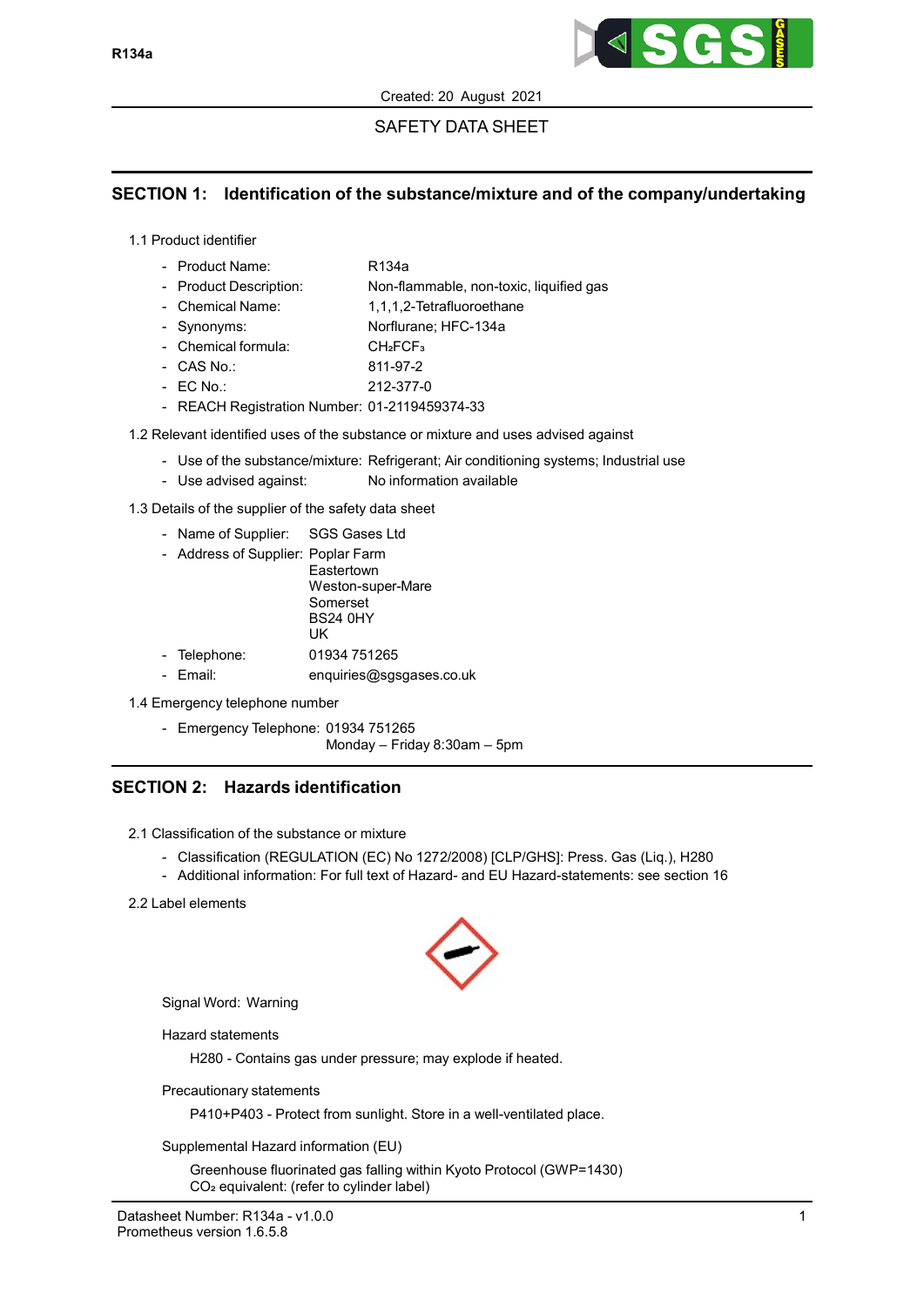

# SAFETY DATA SHEET

# SECTION 1: Identification of the substance/mixture and of the company/undertaking

1.1 Product identifier

| - Product Name:        | R134a                                   |
|------------------------|-----------------------------------------|
| - Product Description: | Non-flammable, non-toxic, liquified gas |
| - Chemical Name:       | 1,1,1,2-Tetrafluoroethane               |
| - Synonyms:            | Norflurane; HFC-134a                    |
| - Chemical formula:    | CH <sub>2</sub> FCF <sub>3</sub>        |
| - CAS No.:             | 811-97-2                                |
| $-$ EC No.:            | 212-377-0                               |

- REACH Registration Number: 01-2119459374-33

1.2 Relevant identified uses of the substance or mixture and uses advised against

- Use of the substance/mixture: Refrigerant; Air conditioning systems; Industrial use
- Use advised against: No information available
- 1.3 Details of the supplier of the safety data sheet
	- Name of Supplier: SGS Gases Ltd
	- Address of Supplier: Poplar Farm

| $1.00$ and $2.00$ and $2.00$ and $2.00$ and $2.00$ and $2.00$ and $2.00$ and $2.00$ and $2.00$ and $2.00$ and $2.00$ and $2.00$ and $2.00$ and $2.00$ and $2.00$ and $2.00$ and $2.00$ and $2.00$ and $2.00$ and $2.00$ and |                          |
|-----------------------------------------------------------------------------------------------------------------------------------------------------------------------------------------------------------------------------|--------------------------|
|                                                                                                                                                                                                                             | Eastertown               |
|                                                                                                                                                                                                                             | Weston-super-Mare        |
|                                                                                                                                                                                                                             | Somerset                 |
|                                                                                                                                                                                                                             | <b>BS24 0HY</b>          |
|                                                                                                                                                                                                                             | UK                       |
| - Telephone:                                                                                                                                                                                                                | 01934 751265             |
| - Fmail:                                                                                                                                                                                                                    | enquiries@sgsgases.co.uk |

- 1.4 Emergency telephone number
	- Emergency Telephone: 01934 751265

Monday – Friday 8:30am – 5pm

# SECTION 2: Hazards identification

2.1 Classification of the substance or mixture

- Classification (REGULATION (EC) No 1272/2008) [CLP/GHS]: Press. Gas (Liq.), H280
- Additional information: For full text of Hazard- and EU Hazard-statements: see section 16
- 2.2 Label elements



Signal Word: Warning

Hazard statements

H280 - Contains gas under pressure; may explode if heated.

Precautionary statements

P410+P403 - Protect from sunlight. Store in a well-ventilated place.

Supplemental Hazard information (EU)

Greenhouse fluorinated gas falling within Kyoto Protocol (GWP=1430) CO<sub>2</sub> equivalent: (refer to cylinder label)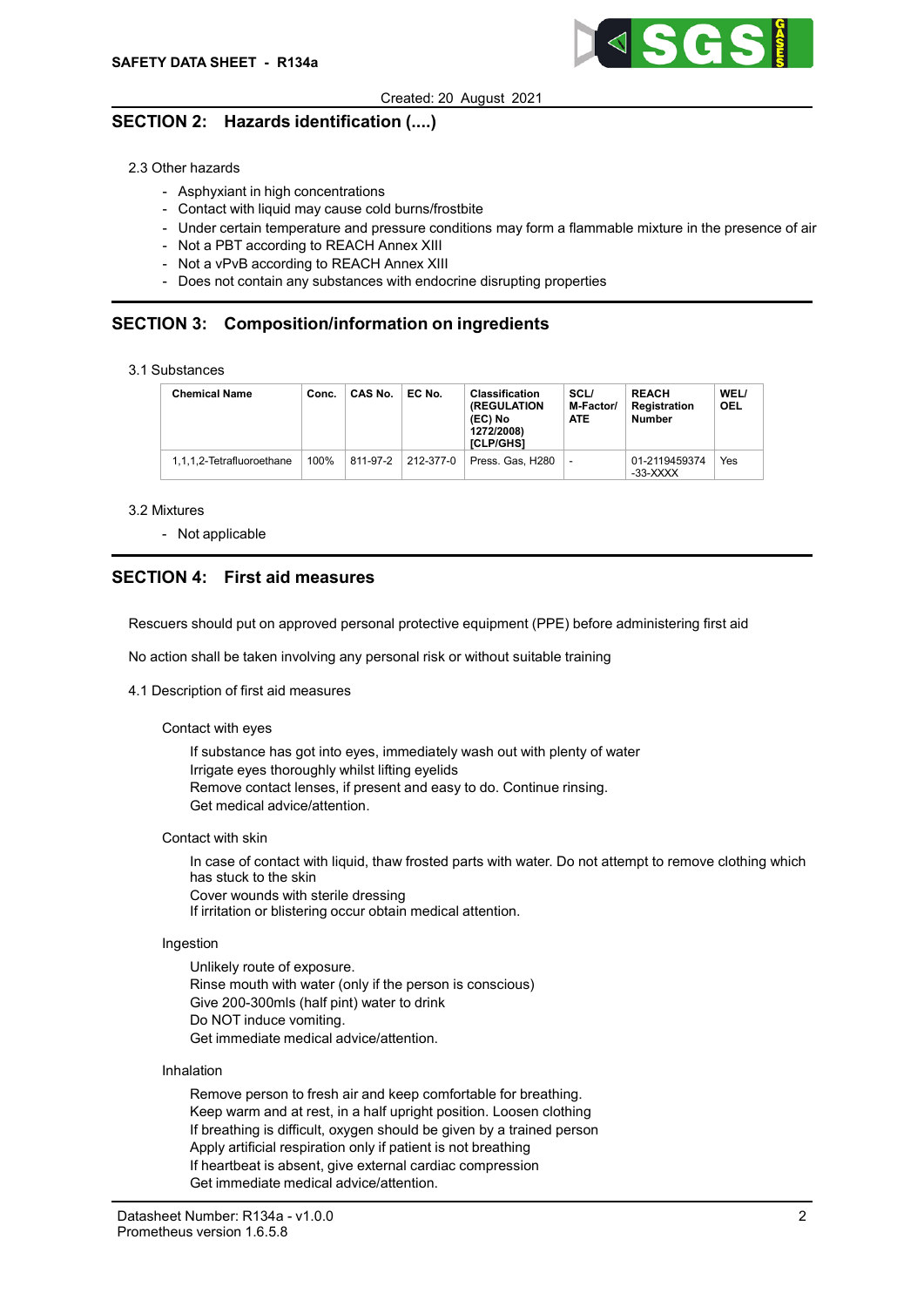

# SECTION 2: Hazards identification (....)

2.3 Other hazards

- Asphyxiant in high concentrations
- Contact with liquid may cause cold burns/frostbite
- Under certain temperature and pressure conditions may form a flammable mixture in the presence of air
- Not a PBT according to REACH Annex XIII
- Not a vPvB according to REACH Annex XIII
- Does not contain any substances with endocrine disrupting properties

# SECTION 3: Composition/information on ingredients

|  |  | 3.1 Substances |
|--|--|----------------|
|--|--|----------------|

| <b>Chemical Name</b>      | Conc. | CAS No.  | EC No.    | <b>Classification</b><br><b>(REGULATION)</b><br>(EC) No<br>1272/2008)<br><b>ICLP/GHS1</b> | <b>SCL/</b><br>M-Factor/<br><b>ATE</b> | <b>REACH</b><br><b>Registration</b><br><b>Number</b> | WEL/<br><b>OEL</b> |
|---------------------------|-------|----------|-----------|-------------------------------------------------------------------------------------------|----------------------------------------|------------------------------------------------------|--------------------|
| 1.1.1.2-Tetrafluoroethane | 100%  | 811-97-2 | 212-377-0 | Press, Gas, H280                                                                          |                                        | 01-2119459374<br>-33-XXXX                            | Yes                |

#### 3.2 Mixtures

- Not applicable

# SECTION 4: First aid measures

Rescuers should put on approved personal protective equipment (PPE) before administering first aid

No action shall be taken involving any personal risk or without suitable training

#### 4.1 Description of first aid measures

#### Contact with eyes

If substance has got into eyes, immediately wash out with plenty of water Irrigate eyes thoroughly whilst lifting eyelids Remove contact lenses, if present and easy to do. Continue rinsing. Get medical advice/attention.

Contact with skin

In case of contact with liquid, thaw frosted parts with water. Do not attempt to remove clothing which has stuck to the skin Cover wounds with sterile dressing If irritation or blistering occur obtain medical attention.

#### Ingestion

Unlikely route of exposure. Rinse mouth with water (only if the person is conscious) Give 200-300mls (half pint) water to drink Do NOT induce vomiting. Get immediate medical advice/attention.

#### Inhalation

Remove person to fresh air and keep comfortable for breathing. Keep warm and at rest, in a half upright position. Loosen clothing If breathing is difficult, oxygen should be given by a trained person Apply artificial respiration only if patient is not breathing If heartbeat is absent, give external cardiac compression Get immediate medical advice/attention.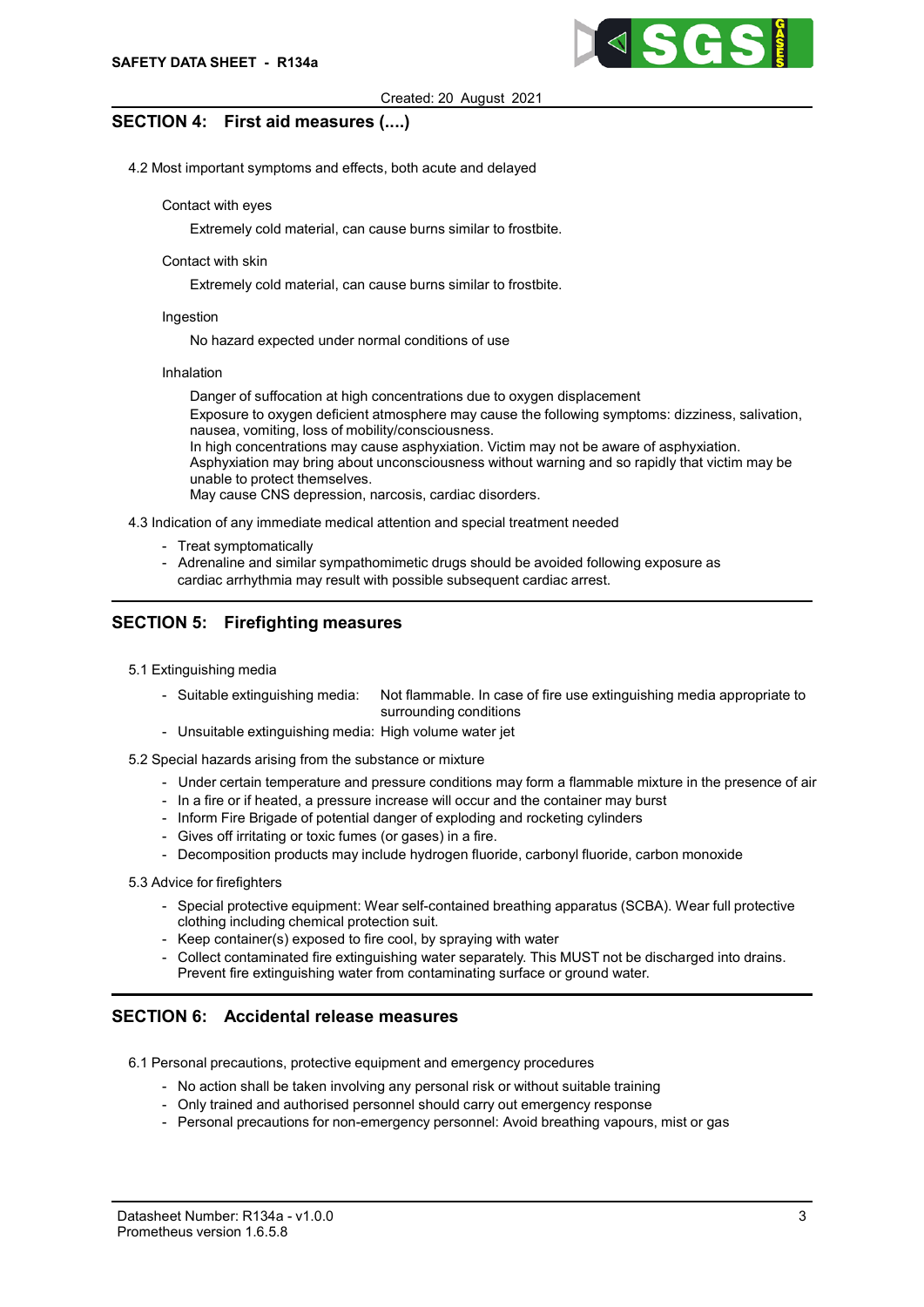

## SECTION 4: First aid measures (....)

4.2 Most important symptoms and effects, both acute and delayed

### Contact with eyes

Extremely cold material, can cause burns similar to frostbite.

### Contact with skin

Extremely cold material, can cause burns similar to frostbite.

## Ingestion

No hazard expected under normal conditions of use

#### Inhalation

Danger of suffocation at high concentrations due to oxygen displacement Exposure to oxygen deficient atmosphere may cause the following symptoms: dizziness, salivation, nausea, vomiting, loss of mobility/consciousness. In high concentrations may cause asphyxiation. Victim may not be aware of asphyxiation. Asphyxiation may bring about unconsciousness without warning and so rapidly that victim may be unable to protect themselves. May cause CNS depression, narcosis, cardiac disorders.

4.3 Indication of any immediate medical attention and special treatment needed

- Treat symptomatically
- Adrenaline and similar sympathomimetic drugs should be avoided following exposure as cardiac arrhythmia may result with possible subsequent cardiac arrest.

# SECTION 5: Firefighting measures

- 5.1 Extinguishing media
	- Suitable extinguishing media: Not flammable. In case of fire use extinguishing media appropriate to surrounding conditions
	- Unsuitable extinguishing media: High volume water jet
- 5.2 Special hazards arising from the substance or mixture
	- Under certain temperature and pressure conditions may form a flammable mixture in the presence of air
	- In a fire or if heated, a pressure increase will occur and the container may burst
	- Inform Fire Brigade of potential danger of exploding and rocketing cylinders
	- Gives off irritating or toxic fumes (or gases) in a fire.
	- Decomposition products may include hydrogen fluoride, carbonyl fluoride, carbon monoxide

### 5.3 Advice for firefighters

- Special protective equipment: Wear self-contained breathing apparatus (SCBA). Wear full protective clothing including chemical protection suit.
- Keep container(s) exposed to fire cool, by spraying with water
- Collect contaminated fire extinguishing water separately. This MUST not be discharged into drains. Prevent fire extinguishing water from contaminating surface or ground water.

## SECTION 6: Accidental release measures

6.1 Personal precautions, protective equipment and emergency procedures

- No action shall be taken involving any personal risk or without suitable training
- Only trained and authorised personnel should carry out emergency response
- Personal precautions for non-emergency personnel: Avoid breathing vapours, mist or gas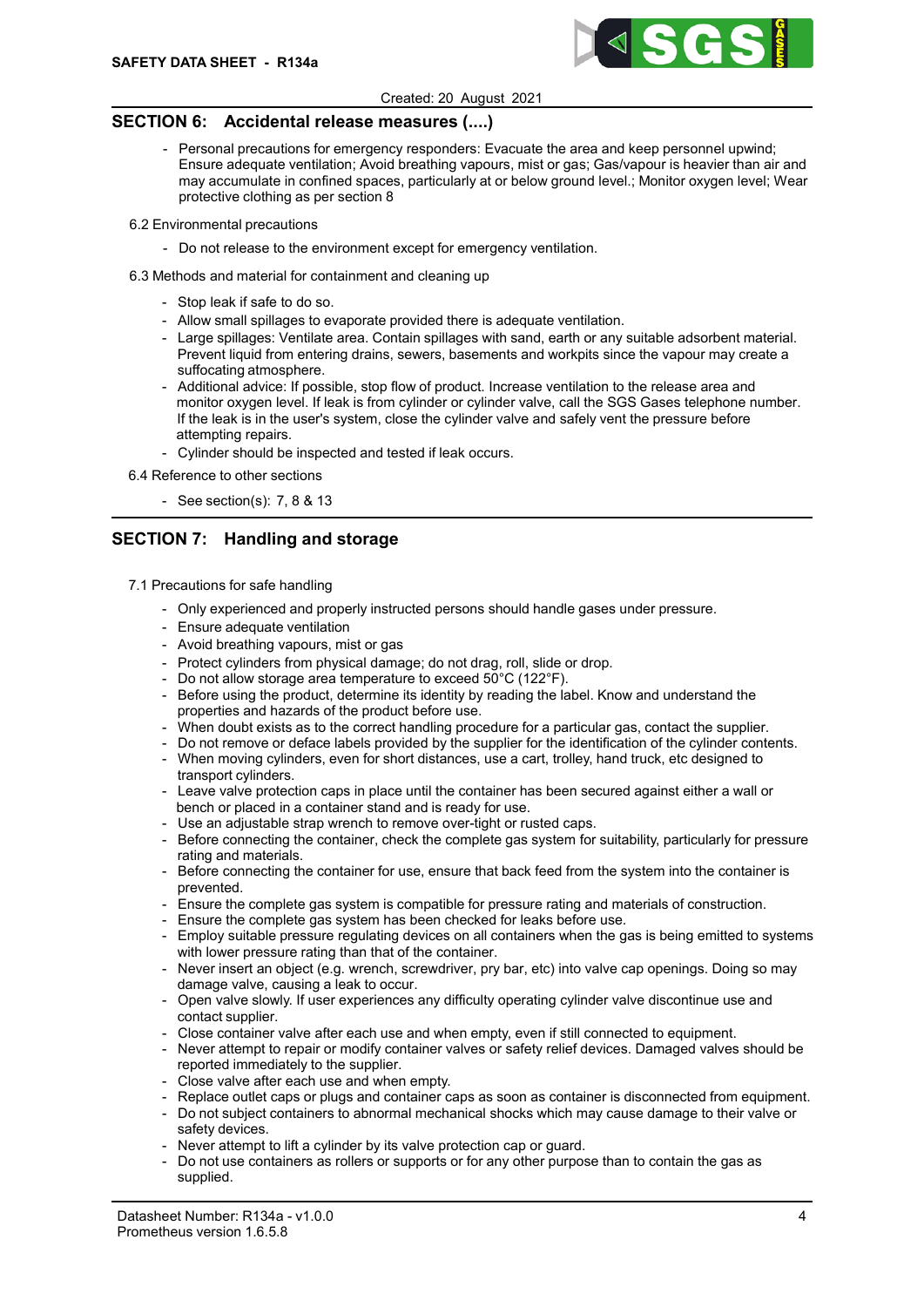

# SECTION 6: Accidental release measures (....)

- Personal precautions for emergency responders: Evacuate the area and keep personnel upwind; Ensure adequate ventilation; Avoid breathing vapours, mist or gas; Gas/vapour is heavier than air and may accumulate in confined spaces, particularly at or below ground level.; Monitor oxygen level; Wear protective clothing as per section 8
- 6.2 Environmental precautions
	- Do not release to the environment except for emergency ventilation.
- 6.3 Methods and material for containment and cleaning up
	- Stop leak if safe to do so.
	- Allow small spillages to evaporate provided there is adequate ventilation.
	- Large spillages: Ventilate area. Contain spillages with sand, earth or any suitable adsorbent material. Prevent liquid from entering drains, sewers, basements and workpits since the vapour may create a suffocating atmosphere.
	- Additional advice: If possible, stop flow of product. Increase ventilation to the release area and monitor oxygen level. If leak is from cylinder or cylinder valve, call the SGS Gases telephone number. If the leak is in the user's system, close the cylinder valve and safely vent the pressure before attempting repairs.
	- Cylinder should be inspected and tested if leak occurs.
- 6.4 Reference to other sections
	- See section(s): 7, 8 & 13

# SECTION 7: Handling and storage

- 7.1 Precautions for safe handling
	- Only experienced and properly instructed persons should handle gases under pressure.
	- Ensure adequate ventilation
	- Avoid breathing vapours, mist or gas
	- Protect cylinders from physical damage; do not drag, roll, slide or drop.
	- Do not allow storage area temperature to exceed 50°C (122°F).
	- Before using the product, determine its identity by reading the label. Know and understand the properties and hazards of the product before use.
	- When doubt exists as to the correct handling procedure for a particular gas, contact the supplier.
	- Do not remove or deface labels provided by the supplier for the identification of the cylinder contents.
	- When moving cylinders, even for short distances, use a cart, trolley, hand truck, etc designed to transport cylinders.
	- Leave valve protection caps in place until the container has been secured against either a wall or bench or placed in a container stand and is ready for use.
	- Use an adjustable strap wrench to remove over-tight or rusted caps.
	- Before connecting the container, check the complete gas system for suitability, particularly for pressure rating and materials.
	- Before connecting the container for use, ensure that back feed from the system into the container is prevented.
	- Ensure the complete gas system is compatible for pressure rating and materials of construction.
	- Ensure the complete gas system has been checked for leaks before use.
	- Employ suitable pressure regulating devices on all containers when the gas is being emitted to systems with lower pressure rating than that of the container.
	- Never insert an object (e.g. wrench, screwdriver, pry bar, etc) into valve cap openings. Doing so may damage valve, causing a leak to occur.
	- Open valve slowly. If user experiences any difficulty operating cylinder valve discontinue use and contact supplier.
	- Close container valve after each use and when empty, even if still connected to equipment.
	- Never attempt to repair or modify container valves or safety relief devices. Damaged valves should be reported immediately to the supplier.
	- Close valve after each use and when empty.
	- Replace outlet caps or plugs and container caps as soon as container is disconnected from equipment.
	- Do not subject containers to abnormal mechanical shocks which may cause damage to their valve or safety devices.
	- Never attempt to lift a cylinder by its valve protection cap or guard.
	- Do not use containers as rollers or supports or for any other purpose than to contain the gas as supplied.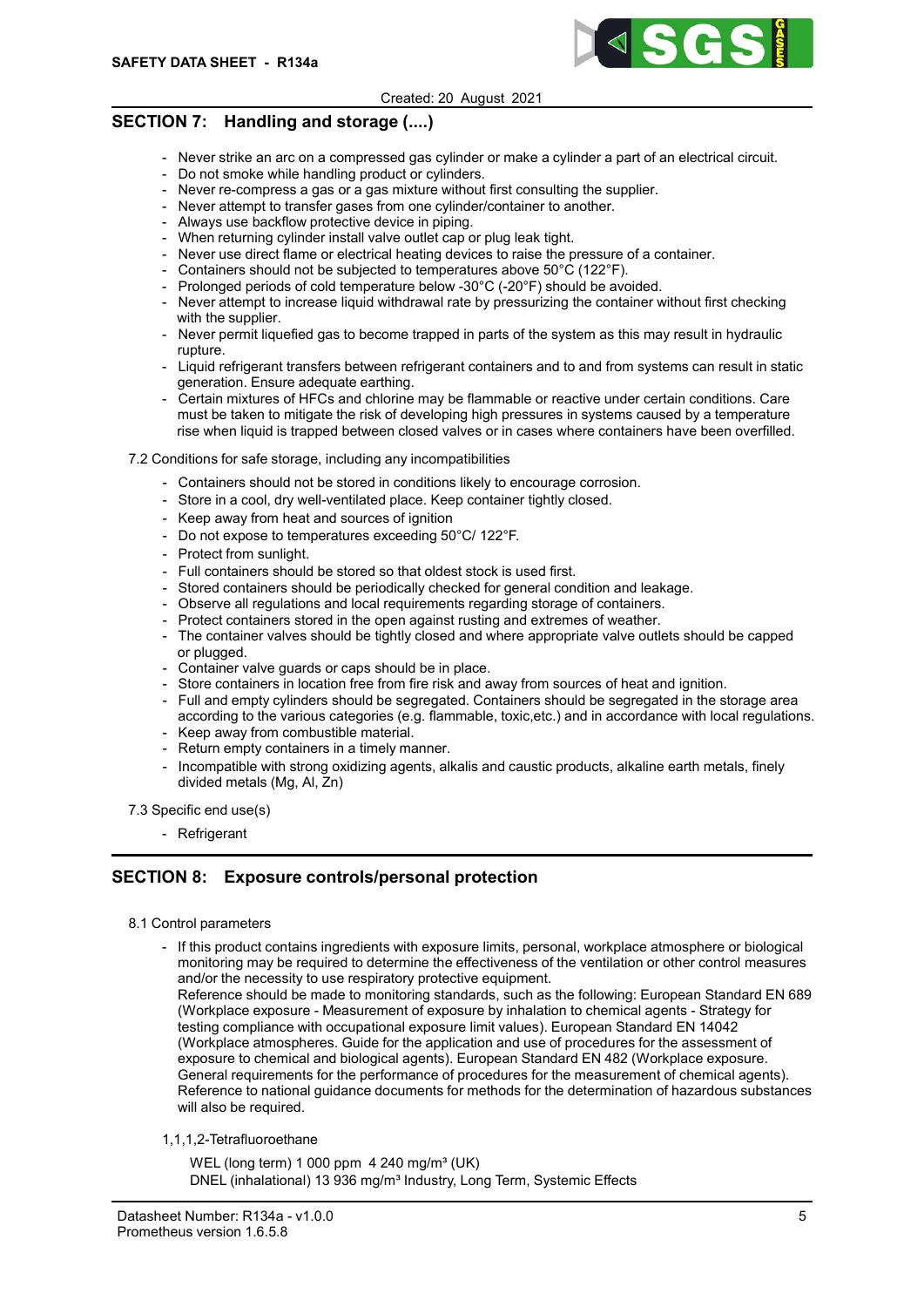

# SECTION 7: Handling and storage (....)

- Never strike an arc on a compressed gas cylinder or make a cylinder a part of an electrical circuit.
- Do not smoke while handling product or cylinders.
- Never re-compress a gas or a gas mixture without first consulting the supplier.
- Never attempt to transfer gases from one cylinder/container to another.
- Always use backflow protective device in piping.
- When returning cylinder install valve outlet cap or plug leak tight.
- Never use direct flame or electrical heating devices to raise the pressure of a container.
- Containers should not be subjected to temperatures above 50°C (122°F).
- Prolonged periods of cold temperature below -30°C (-20°F) should be avoided.
- Never attempt to increase liquid withdrawal rate by pressurizing the container without first checking with the supplier.
- Never permit liquefied gas to become trapped in parts of the system as this may result in hydraulic rupture.
- Liquid refrigerant transfers between refrigerant containers and to and from systems can result in static generation. Ensure adequate earthing.
- Certain mixtures of HFCs and chlorine may be flammable or reactive under certain conditions. Care must be taken to mitigate the risk of developing high pressures in systems caused by a temperature rise when liquid is trapped between closed valves or in cases where containers have been overfilled.
- 7.2 Conditions for safe storage, including any incompatibilities
	- Containers should not be stored in conditions likely to encourage corrosion.
	- Store in a cool, dry well-ventilated place. Keep container tightly closed.
	- Keep away from heat and sources of ignition
	- Do not expose to temperatures exceeding 50°C/ 122°F.
	- Protect from sunlight.
	- Full containers should be stored so that oldest stock is used first.
	- Stored containers should be periodically checked for general condition and leakage.
	- Observe all regulations and local requirements regarding storage of containers.
	- Protect containers stored in the open against rusting and extremes of weather.
	- The container valves should be tightly closed and where appropriate valve outlets should be capped or plugged.
	- Container valve guards or caps should be in place.
	- Store containers in location free from fire risk and away from sources of heat and ignition.
	- Full and empty cylinders should be segregated. Containers should be segregated in the storage area according to the various categories (e.g. flammable, toxic,etc.) and in accordance with local regulations.
	- Keep away from combustible material. - Return empty containers in a timely manner.
	- Incompatible with strong oxidizing agents, alkalis and caustic products, alkaline earth metals, finely divided metals (Mg, Al, Zn)
- 7.3 Specific end use(s)
	- Refrigerant

# SECTION 8: Exposure controls/personal protection

- 8.1 Control parameters
	- If this product contains ingredients with exposure limits, personal, workplace atmosphere or biological monitoring may be required to determine the effectiveness of the ventilation or other control measures and/or the necessity to use respiratory protective equipment. Reference should be made to monitoring standards, such as the following: European Standard EN 689

(Workplace exposure - Measurement of exposure by inhalation to chemical agents - Strategy for testing compliance with occupational exposure limit values). European Standard EN 14042 (Workplace atmospheres. Guide for the application and use of procedures for the assessment of exposure to chemical and biological agents). European Standard EN 482 (Workplace exposure. General requirements for the performance of procedures for the measurement of chemical agents). Reference to national guidance documents for methods for the determination of hazardous substances will also be required.

1,1,1,2-Tetrafluoroethane

WEL (long term) 1 000 ppm  $4240$  mg/m<sup>3</sup> (UK) DNEL (inhalational) 13 936 mg/m<sup>3</sup> Industry, Long Term, Systemic Effects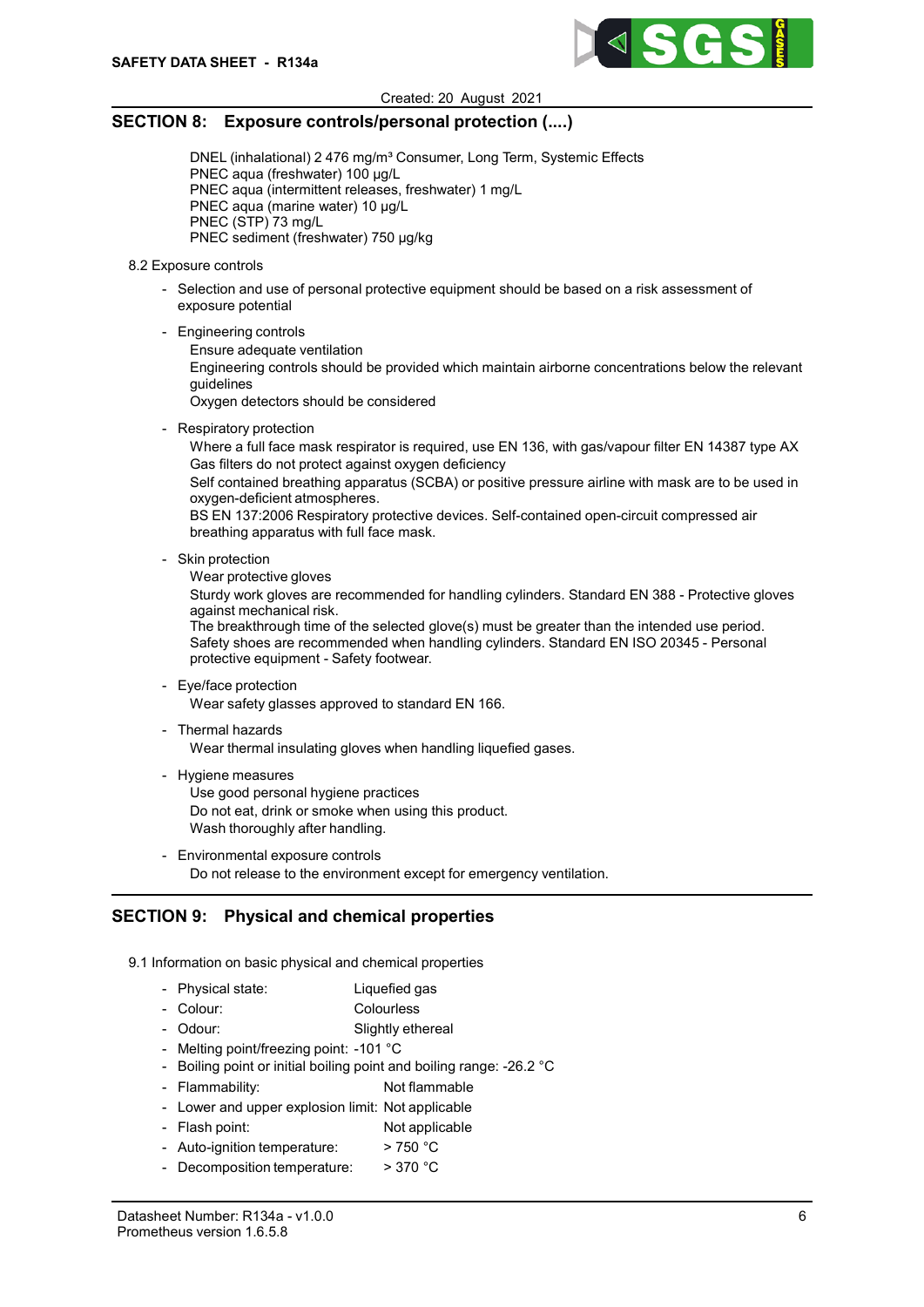

## SECTION 8: Exposure controls/personal protection (....)

DNEL (inhalational) 2 476 mg/m<sup>3</sup> Consumer, Long Term, Systemic Effects PNEC aqua (freshwater) 100 µg/L PNEC aqua (intermittent releases, freshwater) 1 mg/L PNEC aqua (marine water) 10 µg/L PNEC (STP) 73 mg/L PNEC sediment (freshwater) 750 µg/kg

- 8.2 Exposure controls
	- Selection and use of personal protective equipment should be based on a risk assessment of exposure potential
	- Engineering controls
		- Ensure adequate ventilation

Engineering controls should be provided which maintain airborne concentrations below the relevant guidelines

Oxygen detectors should be considered

- Respiratory protection

Where a full face mask respirator is required, use EN 136, with gas/vapour filter EN 14387 type AX Gas filters do not protect against oxygen deficiency

Self contained breathing apparatus (SCBA) or positive pressure airline with mask are to be used in oxygen-deficient atmospheres.

BS EN 137:2006 Respiratory protective devices. Self-contained open-circuit compressed air breathing apparatus with full face mask.

- Skin protection
	- Wear protective gloves

Sturdy work gloves are recommended for handling cylinders. Standard EN 388 - Protective gloves against mechanical risk.

The breakthrough time of the selected glove(s) must be greater than the intended use period. Safety shoes are recommended when handling cylinders. Standard EN ISO 20345 - Personal protective equipment - Safety footwear.

- Eye/face protection

Wear safety glasses approved to standard EN 166.

- Thermal hazards

Wear thermal insulating gloves when handling liquefied gases.

- Hygiene measures

Use good personal hygiene practices Do not eat, drink or smoke when using this product. Wash thoroughly after handling.

- Environmental exposure controls Do not release to the environment except for emergency ventilation.

# SECTION 9: Physical and chemical properties

- 9.1 Information on basic physical and chemical properties
	- Physical state: Liquefied gas
	- Colour: Colourless
	- Odour: Slightly ethereal
	- Melting point/freezing point: -101 °C
	- Boiling point or initial boiling point and boiling range: -26.2 °C
	- Flammability: Not flammable
	- Lower and upper explosion limit: Not applicable
	- Flash point: Not applicable
	- Auto-ignition temperature: > 750 °C
	- Decomposition temperature: > 370 °C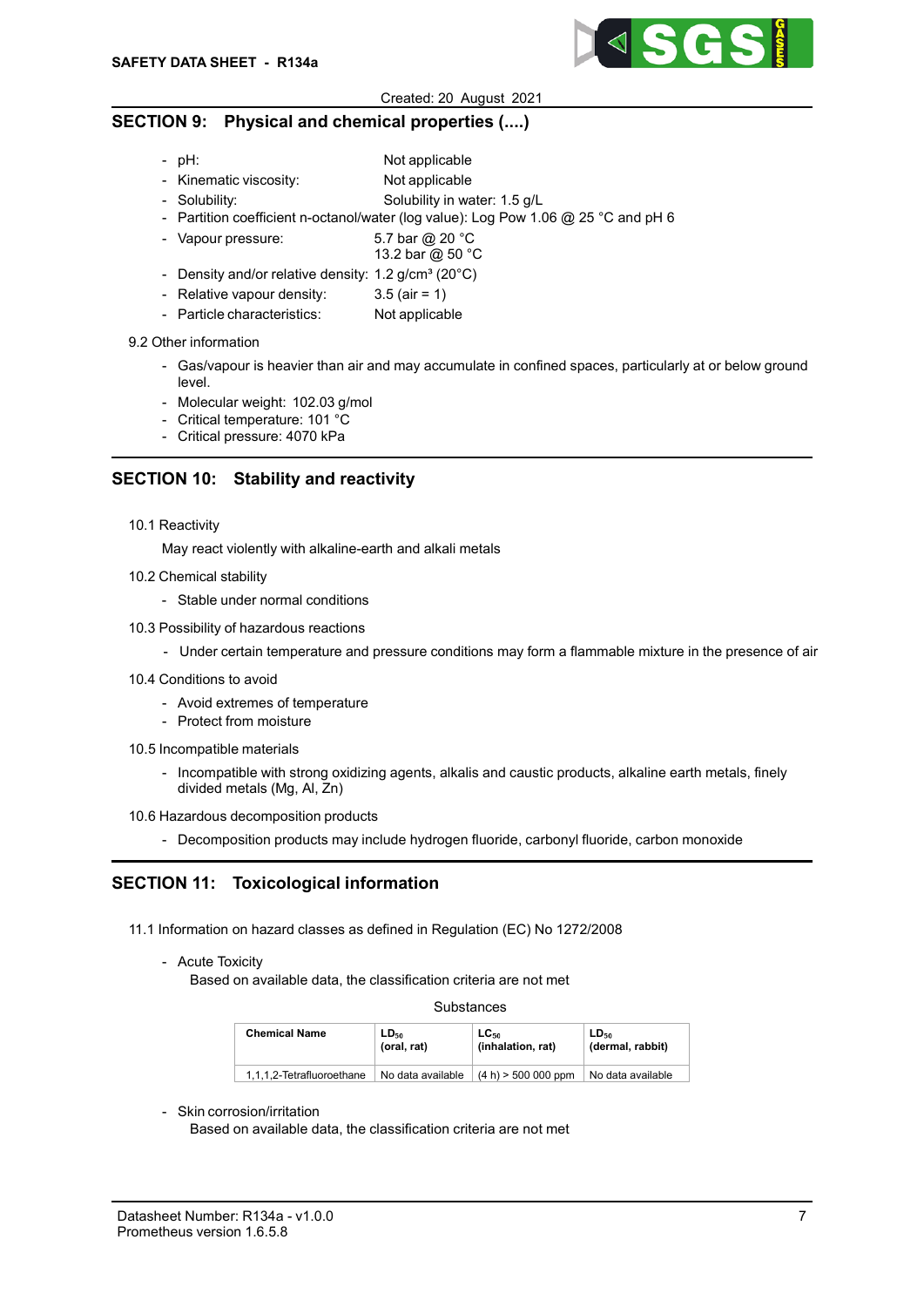

# SECTION 9: Physical and chemical properties (....)

- pH: Not applicable
- Kinematic viscosity: Not applicable
- Solubility: Solubility in water: 1.5 g/L
- Partition coefficient n-octanol/water (log value): Log Pow 1.06 @ 25 °C and pH 6
- Vapour pressure:  $5.7$  bar @ 20 °C
- 13.2 bar @ 50 °C - Density and/or relative density:  $1.2$  g/cm<sup>3</sup> (20 $^{\circ}$ C)
- Relative vapour density: 3.5 (air = 1)
- Particle characteristics: Not applicable

### 9.2 Other information

- Gas/vapour is heavier than air and may accumulate in confined spaces, particularly at or below ground level.
- Molecular weight: 102.03 g/mol
- Critical temperature: 101 °C
- Critical pressure: 4070 kPa

# SECTION 10: Stability and reactivity

10.1 Reactivity

May react violently with alkaline-earth and alkali metals

- 10.2 Chemical stability
	- Stable under normal conditions
- 10.3 Possibility of hazardous reactions
	- Under certain temperature and pressure conditions may form a flammable mixture in the presence of air
- 10.4 Conditions to avoid
	- Avoid extremes of temperature
	- Protect from moisture
- 10.5 Incompatible materials
	- Incompatible with strong oxidizing agents, alkalis and caustic products, alkaline earth metals, finely divided metals (Mg, Al, Zn)

#### 10.6 Hazardous decomposition products

- Decomposition products may include hydrogen fluoride, carbonyl fluoride, carbon monoxide

# SECTION 11: Toxicological information

- 11.1 Information on hazard classes as defined in Regulation (EC) No 1272/2008
	- Acute Toxicity

Based on available data, the classification criteria are not met

### Substances

| <b>Chemical Name</b>      | LD <sub>50</sub><br>(oral. rat) | $LC_{50}$<br>(inhalation, rat) | LD <sub>50</sub><br>(dermal, rabbit) |
|---------------------------|---------------------------------|--------------------------------|--------------------------------------|
| 1.1.1.2-Tetrafluoroethane | No data available               | $(4 h)$ > 500 000 ppm          | No data available                    |

### - Skin corrosion/irritation

Based on available data, the classification criteria are not met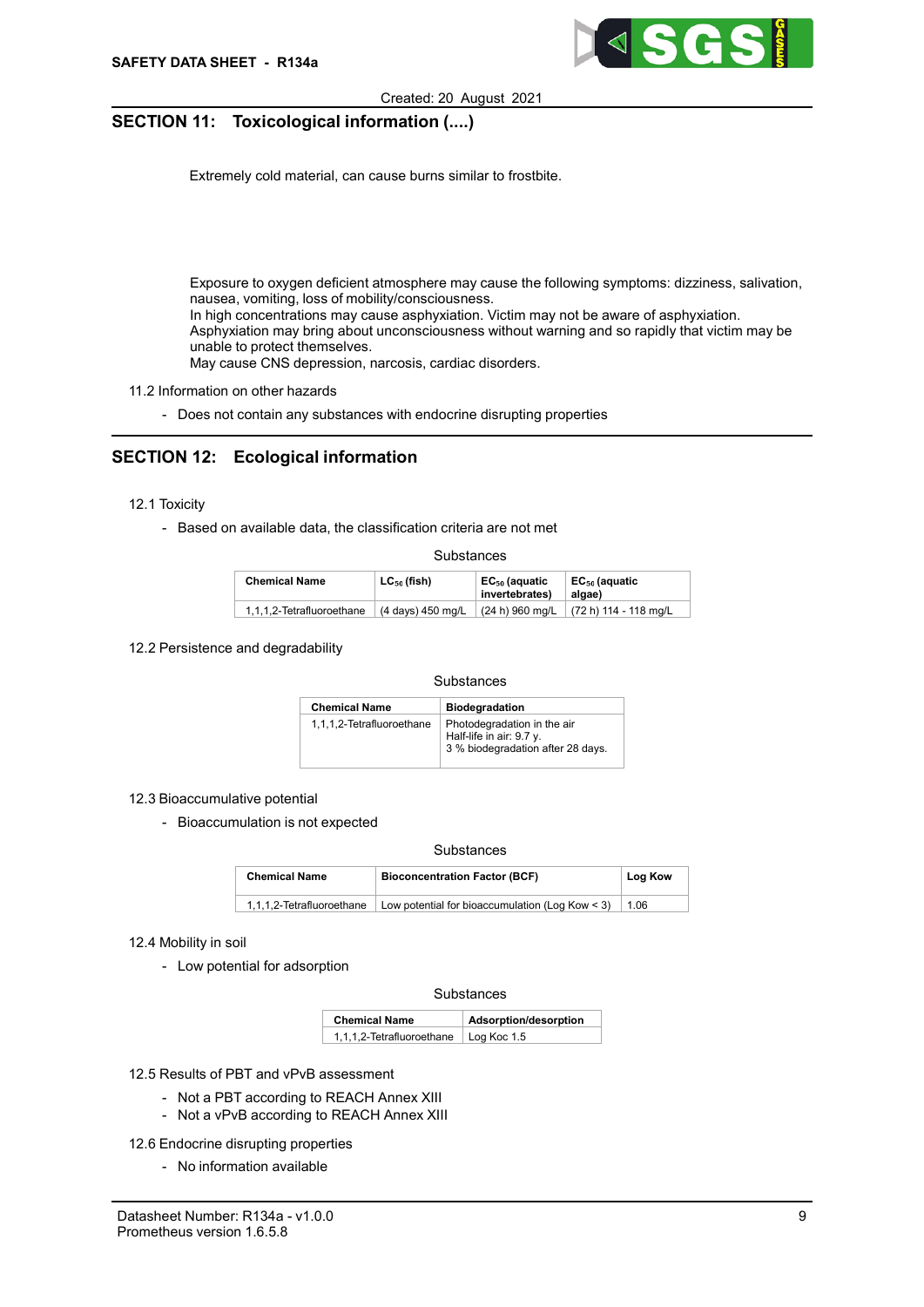

# SECTION 11: Toxicological information (....)

- Contact with skin

Extremely cold material, can cause burns similar to frostbite.

- Ingestion

No hazard expected under normal conditions of use

- Inhalation

 Danger of suffocation at high concentrations due to oxygen displacement Exposure to oxygen deficient atmosphere may cause the following symptoms: dizziness, salivation, nausea, vomiting, loss of mobility/consciousness. In high concentrations may cause asphyxiation. Victim may not be aware of asphyxiation. Asphyxiation may bring about unconsciousness without warning and so rapidly that victim may be unable to protect themselves. May cause CNS depression, narcosis, cardiac disorders.

- 11.2 Information on other hazards
	- Does not contain any substances with endocrine disrupting properties

# SECTION 12: Ecological information

- 12.1 Toxicity
	- Based on available data, the classification criteria are not met

#### Substances

| <b>Chemical Name</b>      | $LC_{50}$ (fish)  | EC <sub>50</sub> (aquatic<br>invertebrates) | EC <sub>50</sub> (aquatic<br>algae)       |
|---------------------------|-------------------|---------------------------------------------|-------------------------------------------|
| 1.1.1.2-Tetrafluoroethane | (4 days) 450 mg/L |                                             | $(24 h)$ 960 mg/L $(72 h)$ 114 - 118 mg/L |

12.2 Persistence and degradability

#### **Substances**

| <b>Chemical Name</b>      | <b>Biodegradation</b>                                                                        |
|---------------------------|----------------------------------------------------------------------------------------------|
| 1,1,1,2-Tetrafluoroethane | Photodegradation in the air<br>Half-life in air: 9.7 y.<br>3 % biodegradation after 28 days. |

#### 12.3 Bioaccumulative potential

- Bioaccumulation is not expected

#### **Substances**

| <b>Chemical Name</b>      | <b>Bioconcentration Factor (BCF)</b>            | Log Kow |
|---------------------------|-------------------------------------------------|---------|
| 1.1.1.2-Tetrafluoroethane | Low potential for bioaccumulation (Log Kow < 3) | 1.06    |

### 12.4 Mobility in soil

- Low potential for adsorption

### Substances

| <b>Chemical Name</b>      | Adsorption/desorption |
|---------------------------|-----------------------|
| 1,1,1,2-Tetrafluoroethane | Log Koc 1.5           |

12.5 Results of PBT and vPvB assessment

- Not a PBT according to REACH Annex XIII
- Not a vPvB according to REACH Annex XIII

12.6 Endocrine disrupting properties

- No information available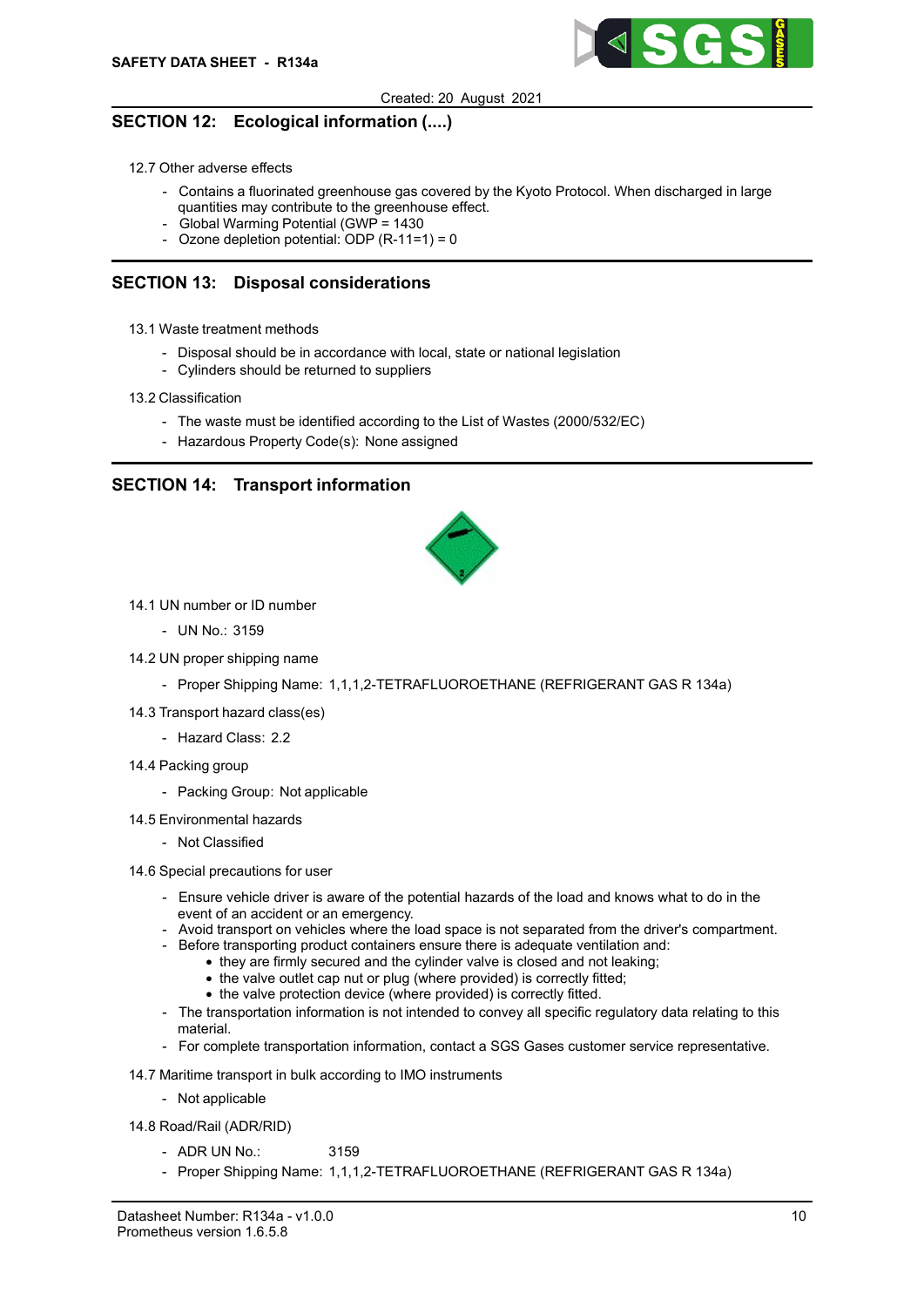

# SECTION 12: Ecological information (....)

### 12.7 Other adverse effects

- Contains a fluorinated greenhouse gas covered by the Kyoto Protocol. When discharged in large quantities may contribute to the greenhouse effect.
- Global Warming Potential (GWP = 1430
- Ozone depletion potential: ODP  $(R-11=1) = 0$

# SECTION 13: Disposal considerations

- 13.1 Waste treatment methods
	- Disposal should be in accordance with local, state or national legislation
	- Cylinders should be returned to suppliers
- 13.2 Classification
	- The waste must be identified according to the List of Wastes (2000/532/EC)
	- Hazardous Property Code(s): None assigned

# SECTION 14: Transport information



- 14.1 UN number or ID number
	- UN No.: 3159
- 14.2 UN proper shipping name
	- Proper Shipping Name: 1,1,1,2-TETRAFLUOROETHANE (REFRIGERANT GAS R 134a)
- 14.3 Transport hazard class(es)
	- Hazard Class: 2.2
- 14.4 Packing group
	- Packing Group: Not applicable
- 14.5 Environmental hazards
	- Not Classified
- 14.6 Special precautions for user
	- Ensure vehicle driver is aware of the potential hazards of the load and knows what to do in the event of an accident or an emergency.
	- Avoid transport on vehicles where the load space is not separated from the driver's compartment.
	- Before transporting product containers ensure there is adequate ventilation and:
		- they are firmly secured and the cylinder valve is closed and not leaking;
			- the valve outlet cap nut or plug (where provided) is correctly fitted;
		- the valve protection device (where provided) is correctly fitted.
	- The transportation information is not intended to convey all specific regulatory data relating to this material.
	- For complete transportation information, contact a SGS Gases customer service representative.
- 14.7 Maritime transport in bulk according to IMO instruments
	- Not applicable
- 14.8 Road/Rail (ADR/RID)
	- $-$  ADR UN No.: 3159
	- Proper Shipping Name: 1,1,1,2-TETRAFLUOROETHANE (REFRIGERANT GAS R 134a)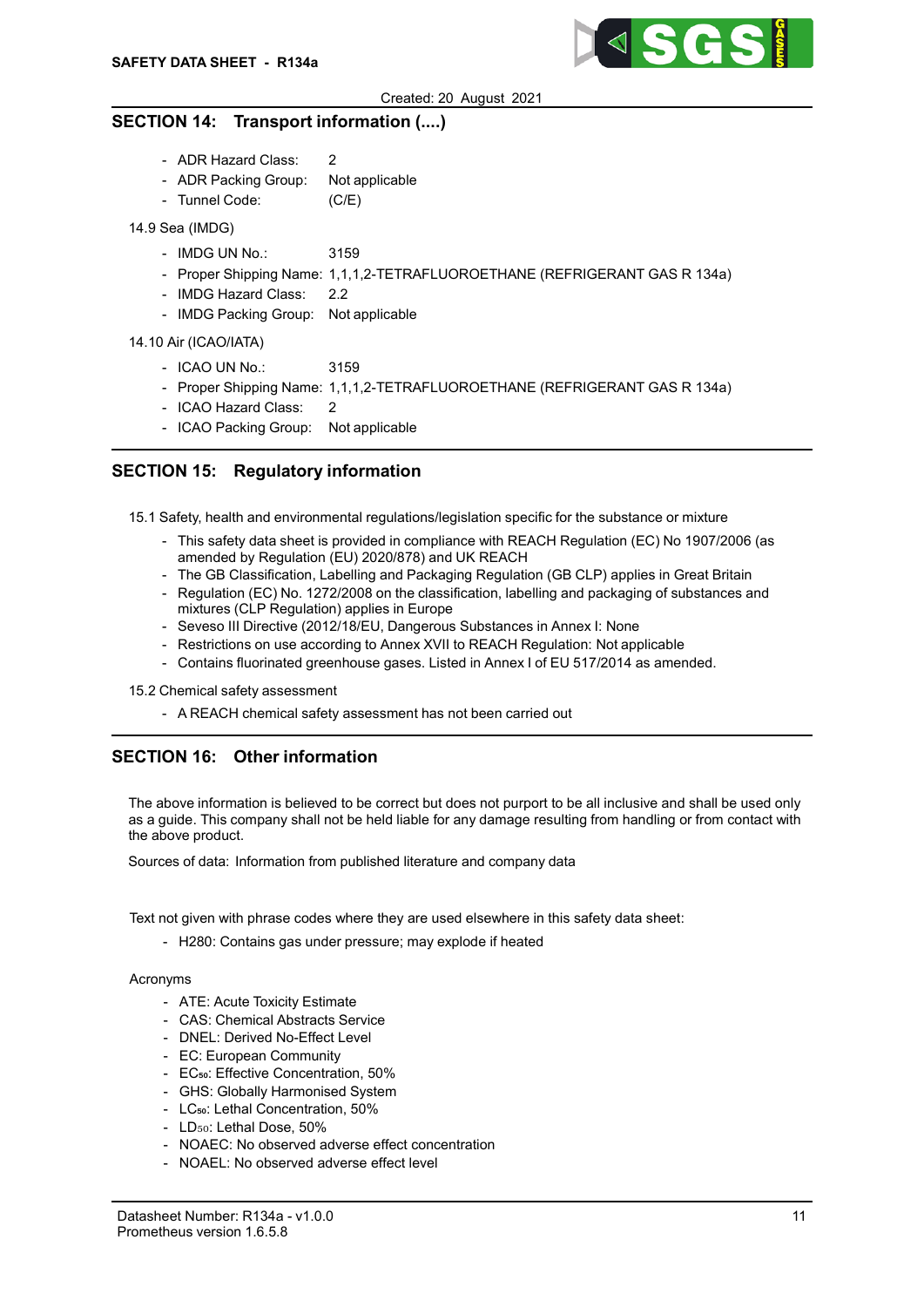

## SECTION 14: Transport information (....)

- ADR Hazard Class: 2
- ADR Packing Group: Not applicable
- Tunnel Code: (C/E)

## 14.9 Sea (IMDG)

- IMDG UN No.: 3159
- Proper Shipping Name: 1,1,1,2-TETRAFLUOROETHANE (REFRIGERANT GAS R 134a)
- IMDG Hazard Class: 2.2
- IMDG Packing Group: Not applicable

### 14.10 Air (ICAO/IATA)

- ICAO UN No.: 3159
- Proper Shipping Name: 1,1,1,2-TETRAFLUOROETHANE (REFRIGERANT GAS R 134a)
- ICAO Hazard Class: 2
- ICAO Packing Group: Not applicable

# SECTION 15: Regulatory information

15.1 Safety, health and environmental regulations/legislation specific for the substance or mixture

- This safety data sheet is provided in compliance with REACH Regulation (EC) No 1907/2006 (as amended by Regulation (EU) 2020/878) and UK REACH
- The GB Classification, Labelling and Packaging Regulation (GB CLP) applies in Great Britain
- Regulation (EC) No. 1272/2008 on the classification, labelling and packaging of substances and mixtures (CLP Regulation) applies in Europe
- Seveso III Directive (2012/18/EU, Dangerous Substances in Annex I: None
- Restrictions on use according to Annex XVII to REACH Regulation: Not applicable
- Contains fluorinated greenhouse gases. Listed in Annex I of EU 517/2014 as amended.

15.2 Chemical safety assessment

- A REACH chemical safety assessment has not been carried out

# SECTION 16: Other information

The above information is believed to be correct but does not purport to be all inclusive and shall be used only as a guide. This company shall not be held liable for any damage resulting from handling or from contact with the above product.

Sources of data: Information from published literature and company data

Text not given with phrase codes where they are used elsewhere in this safety data sheet:

- H280: Contains gas under pressure; may explode if heated

### Acronyms

- ATE: Acute Toxicity Estimate
- CAS: Chemical Abstracts Service
- DNEL: Derived No-Effect Level
- EC: European Community
- EC<sub>50</sub>: Effective Concentration, 50%
- GHS: Globally Harmonised System
- LC<sub>50</sub>: Lethal Concentration, 50%
- LD<sub>50</sub>: Lethal Dose, 50%
- NOAEC: No observed adverse effect concentration
- NOAEL: No observed adverse effect level